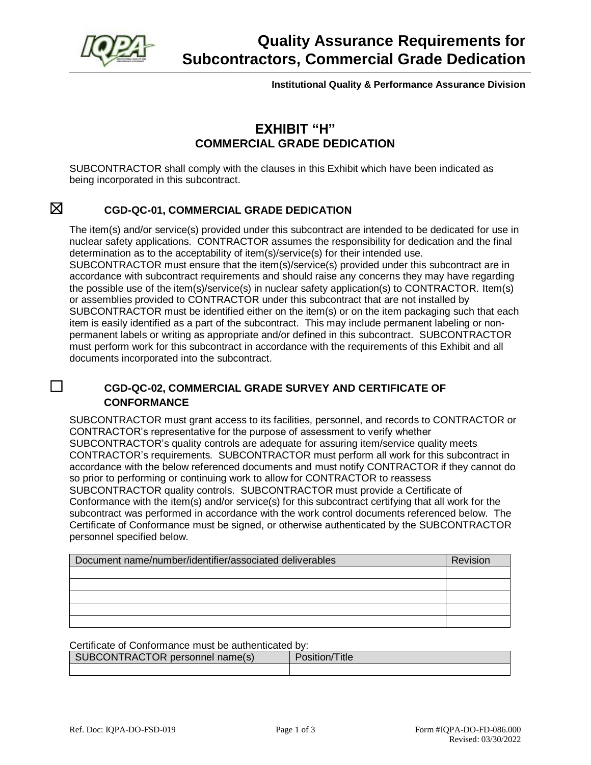

**Institutional Quality & Performance Assurance Division**

### **EXHIBIT "H" COMMERCIAL GRADE DEDICATION**

SUBCONTRACTOR shall comply with the clauses in this Exhibit which have been indicated as being incorporated in this subcontract.

### ☒ **CGD-QC-01, COMMERCIAL GRADE DEDICATION**

The item(s) and/or service(s) provided under this subcontract are intended to be dedicated for use in nuclear safety applications. CONTRACTOR assumes the responsibility for dedication and the final determination as to the acceptability of item(s)/service(s) for their intended use. SUBCONTRACTOR must ensure that the item(s)/service(s) provided under this subcontract are in accordance with subcontract requirements and should raise any concerns they may have regarding the possible use of the item(s)/service(s) in nuclear safety application(s) to CONTRACTOR. Item(s) or assemblies provided to CONTRACTOR under this subcontract that are not installed by SUBCONTRACTOR must be identified either on the item(s) or on the item packaging such that each item is easily identified as a part of the subcontract. This may include permanent labeling or nonpermanent labels or writing as appropriate and/or defined in this subcontract. SUBCONTRACTOR must perform work for this subcontract in accordance with the requirements of this Exhibit and all documents incorporated into the subcontract.

#### ☐ **CGD-QC-02, COMMERCIAL GRADE SURVEY AND CERTIFICATE OF CONFORMANCE**

SUBCONTRACTOR must grant access to its facilities, personnel, and records to CONTRACTOR or CONTRACTOR's representative for the purpose of assessment to verify whether SUBCONTRACTOR's quality controls are adequate for assuring item/service quality meets CONTRACTOR's requirements. SUBCONTRACTOR must perform all work for this subcontract in accordance with the below referenced documents and must notify CONTRACTOR if they cannot do so prior to performing or continuing work to allow for CONTRACTOR to reassess SUBCONTRACTOR quality controls. SUBCONTRACTOR must provide a Certificate of Conformance with the item(s) and/or service(s) for this subcontract certifying that all work for the subcontract was performed in accordance with the work control documents referenced below. The Certificate of Conformance must be signed, or otherwise authenticated by the SUBCONTRACTOR personnel specified below.

| Document name/number/identifier/associated deliverables | Revision |
|---------------------------------------------------------|----------|
|                                                         |          |
|                                                         |          |
|                                                         |          |
|                                                         |          |
|                                                         |          |

Certificate of Conformance must be authenticated by:

| SUBCONTRACTOR personnel name(s) | 'osition/ )<br>Title |
|---------------------------------|----------------------|
|                                 |                      |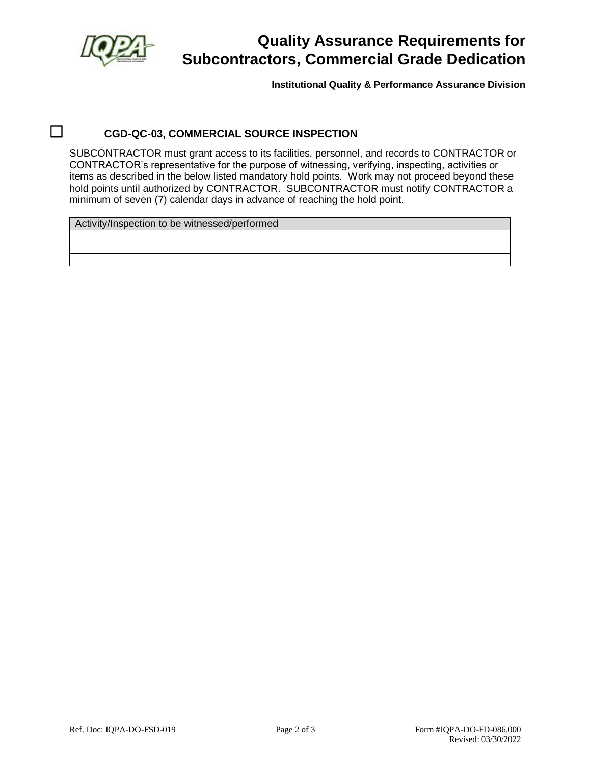

## **Quality Assurance Requirements for Subcontractors, Commercial Grade Dedication**

**Institutional Quality & Performance Assurance Division**

### ☐ **CGD-QC-03, COMMERCIAL SOURCE INSPECTION**

SUBCONTRACTOR must grant access to its facilities, personnel, and records to CONTRACTOR or CONTRACTOR's representative for the purpose of witnessing, verifying, inspecting, activities or items as described in the below listed mandatory hold points. Work may not proceed beyond these hold points until authorized by CONTRACTOR. SUBCONTRACTOR must notify CONTRACTOR a minimum of seven (7) calendar days in advance of reaching the hold point.

Activity/Inspection to be witnessed/performed